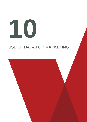# **10**

# USE OF DATA FOR MARKETING

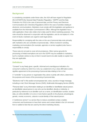## **Background**

In considering complaints under these rules, the ASA will have regard to Regulation (EU) 2016/679 (the General Data Protection Regulation, "GDPR") and the Data Protection Act 2018 in the case of personal data, and the Privacy and Electronic Communications (EC Directive) Regulations 2003 in the case of activities relating to electronic communications. Marketers must comply with this legislation and guidance is available from the Information Commissioner's Office. Although the legislation has a wide application, these rules relate only to data used for direct marketing purposes. The rules should be observed in conjunction with the legislation, and do not replace it: in the event of doubt, marketers are urged to seek legal advice.

Responsibility for complying with the rules on the use of personal data rests primarily with marketers who are controllers of personal data. Others involved in sending marketing communications (for example, agencies or service suppliers) also have a responsibility to comply.

These rules do not seek to cover all circumstances. Other narrow grounds for processing or limited exemptions set out in the GDPR may be available to marketers, but if a marketer wishes to rely on them it would need to be able readily to explain how they are applicable.

# **Definitions**

"Consent" is any freely given, specific, informed and unambiguous indication of a consumer's wishes by which he or she, by a statement or by a clear affirmative action, signifies agreement to the processing of personal data relating to him or her.

A "controller" is any person or organisation that, alone or jointly with others, determines the purposes and means of the processing of personal data;

"Electronic mail" in this section encompasses text, voice, sounds or image message, including e-mail, Short Message Service (SMS), Multimedia Messaging Service (MMS).

"Personal data" is any information relating to an identified or identifiable natural person; an identifiable natural person is one who can be identified, directly or indirectly, in particular by reference to an identifier such as a name, an identification number, location data, an online identifier or to one or more factors specific to the physical, physiological, genetic, mental, economic, cultural or social identity of that natural person.

A "preference service" is a service that, to reduce unsolicited contact, enables consumers and businesses to have their names and contact details in the UK removed from or added to lists that are used by the direct marketing industry.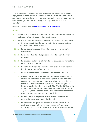"Special categories" of personal data means: personal data revealing racial or ethnic origin, political opinions, religious or philosophical beliefs, or trade union membership; and genetic data, biometric data for the purpose of uniquely identifying a natural person, data concerning health or data concerning a natural person's sex life or sexual orientation.

(See also CAP Help Notes o[n Mobile Marketing](http://www.cap.org.uk/Advice-Training-on-the-rules/Help-Notes/Mobile-marketing.aspx) and [Viral Marketing.](http://www.cap.org.uk/Advice-Training-on-the-rules/Help-Notes/Advertising-Virals.aspx))

## **Rules**

- 10.1 Marketers must not make persistent and unwanted marketing communications by telephone, fax, mail, e-mail or other remote media.
- 10.2 At the time of collecting consumers' personal data from them, marketers must provide consumers with the following information (in, for example, a privacy notice), unless the consumer already has it:
	- 10.2.1 the identity and the contact details of the marketer or the marketer's representative
	- 10.2.2 the contact details of the data protection officer of the marketer, where applicable
	- 10.2.3 the purposes for which the collection of the personal data are intended and the legal basis for collection
	- 10.2.4 the legitimate interests of the marketer or third party, where processing is based on these interests (see rule 10.5)
	- 10.2.5 the recipients or categories of recipients of the personal data, if any
	- 10.2.6 where applicable, that the marketer intends to transfer personal data to a recipient in a third country or international organisation. If so, marketers must refer to the existence or absence of an adequacy decision by the European Commission, or to the appropriate or suitable safeguards or binding corporate rules referred to in Article 46 or 47 of the GDPR, or to the compelling legitimate interests under the second subparagraph of Article 49(1) GDPR, and the means to obtain a copy of the transfer mechanisms relied on or where they have been made available
	- 10.2.7 the period for which the personal data will be stored, or if that is not possible, the criteria used to determine that period
	- 10.2.8 the existence of the right to request from the marketer access to and rectification or erasure of personal data or restriction of processing concerning the consumer or to object to processing as well as the right to

**The UK Code of Non-broadcast Advertising and Direct & Promotional Marketing 49**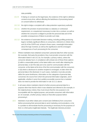data portability

- 10.2.9 if relying on consent as the legal basis, the existence of the right to withdraw consent at any time, without affecting the lawfulness of processing based on consent before its withdrawal
- 10.2.10 the right to lodge a complaint with a data protection supervisory authority
- 10.2.11 whether the provision of personal data is a statutory or contractual requirement, or a requirement necessary to enter into a contract, as well as whether the consumer is obliged to provide the personal data and of the possible consequences of failure to provide such data
- 10.2.12 the existence of automated decision-making, including profiling producing legal or similarly significant effects on consumers, referred to in Article 22(1) and (4) of the GDPR and, at least in those cases, meaningful information about the logic involved, as well as the significance and the envisaged consequences of such processing for the consumer.
- 10.3 Where marketers have obtained consumers' personal data from other sources (for example, third party list providers), they must provide consumers with the information listed in rule 10.2 (in, for example, a privacy notice), unless the consumer already has it, in compliance with at least one of these three options: (i) within a reasonable period, at the latest within one month after obtaining the personal data; or (ii) if the data are to be used for communication with the consumer, at the latest at the time of the first communication with the consumer; or (iii) where a disclosure to another recipient is envisaged, no later when the personal data is first disclosed. In such cases, marketers must also provide, within the same timeframes, information on the categories of personal data concerned, the source from which the personal information originates, and if applicable, whether it came from publicly accessible sources but a marketer does not need to provide the information in rule 10.2.11 above.
- 10.4 In all cases where marketers intend to further process personal data for a purpose other than that for which it was obtained and referred to (for example, in the original privacy notice), they must ensure that the new purpose is not incompatible with the original purpose, and provide consumers with information (in, for example, a further privacy notice) on that other purpose before processing it.
- 10.5 Marketers must either obtain prior consent (see Definitions) from consumers before processing their personal data to send marketing communications, or be in a position to demonstrate that the processing is necessary for the purposes of their or a third party's legitimate interests. The legitimate interests provision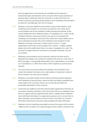does not apply where such interests are overridden by the interests or fundamental rights and freedoms of the consumer which require protection of personal data, in particular where the consumer is a child; and it does not provide a basis for processing personal data to send marketing communications by electronic mail (although, see rule 10.6 below).

- 10.6 Marketers must have obtained consent before using contact details to send marketing communications to consumers by electronic mail, unless (i) the communications are for the marketer's similar products and services, (ii) the contact details have been obtained during, or in negotiations for, a sale; and (iii) marketers tell those consumers that they may opt out of receiving future marketing communications, both when they collect their contact details and on every subsequent occasion they send marketing communications to them. Marketers must give consumers a simple means to opt out. Certain organisations cannot rely on this exception from consent – charities, political parties and not-for-profits where there is no sale or negotiation for a sale. This rule does not apply where the consumer is a corporate subscriber: see rule 10.14 below.
- 10.7 Marketing communications sent by electronic mail (but not those sent by Bluetooth technology) must contain the marketer's full name (or, in the case of SMS messages, a recognisable abbreviation) and a valid address; for example, an e-mail address or a SMS short code to which recipients can send opt-out requests.
- 10.8 Fax and non-live-sound automated-call marketing communications must contain the marketer's full name and a valid address or freephone number to which recipients can send opt-out requests.
- 10.9 Marketers must obtain explicit consent before processing special categories (see Definitions) of personal data, unless the data has already manifestly been made public by the consumer and the use of it was fair and within the reasonable expectations of the consumer.
- 10.10 Consumers are entitled to have their personal data suppressed so that they do not receive marketing. Marketers must ensure that, before use, databases have been run against relevant suppression files within a suitable period. Marketers must hold limited information, for suppression purposes only, to ensure that no other marketing communications are sent to those consumers as a result of information about those consumers being reobtained through a third party.
- 10.11 Marketers must do everything reasonable to ensure that anyone who has been notified to them as dead is not contacted again and the notifier is referred to the